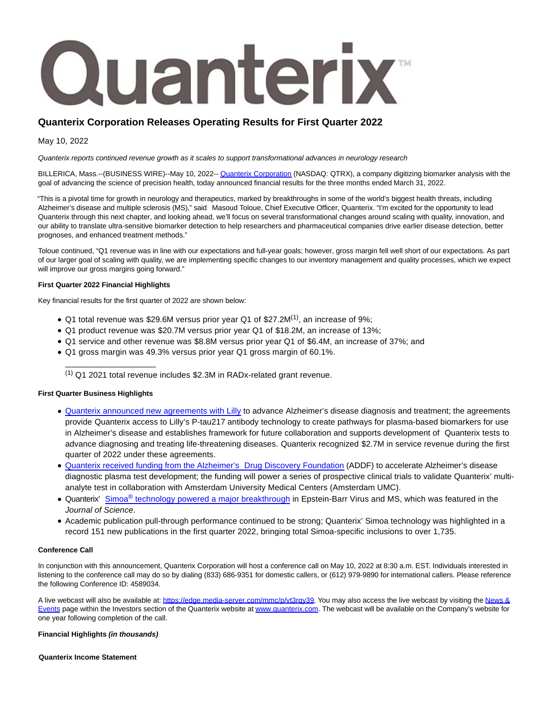

# **Quanterix Corporation Releases Operating Results for First Quarter 2022**

May 10, 2022

Quanterix reports continued revenue growth as it scales to support transformational advances in neurology research

BILLERICA, Mass.--(BUSINESS WIRE)--May 10, 2022-[- Quanterix Corporation \(](https://cts.businesswire.com/ct/CT?id=smartlink&url=http%3A%2F%2Fwww.quanterix.com%2F&esheet=52713945&newsitemid=20220510005736&lan=en-US&anchor=Quanterix+Corporation&index=1&md5=ea622e354135d3a40facac228017ea5e)NASDAQ: QTRX), a company digitizing biomarker analysis with the goal of advancing the science of precision health, today announced financial results for the three months ended March 31, 2022.

"This is a pivotal time for growth in neurology and therapeutics, marked by breakthroughs in some of the world's biggest health threats, including Alzheimer's disease and multiple sclerosis (MS)," said Masoud Toloue, Chief Executive Officer, Quanterix. "I'm excited for the opportunity to lead Quanterix through this next chapter, and looking ahead, we'll focus on several transformational changes around scaling with quality, innovation, and our ability to translate ultra-sensitive biomarker detection to help researchers and pharmaceutical companies drive earlier disease detection, better prognoses, and enhanced treatment methods."

Toloue continued, "Q1 revenue was in line with our expectations and full-year goals; however, gross margin fell well short of our expectations. As part of our larger goal of scaling with quality, we are implementing specific changes to our inventory management and quality processes, which we expect will improve our gross margins going forward."

### **First Quarter 2022 Financial Highlights**

Key financial results for the first quarter of 2022 are shown below:

- $\bullet$  Q1 total revenue was \$29.6M versus prior year Q1 of \$27.2M<sup>(1)</sup>, an increase of 9%;
- Q1 product revenue was \$20.7M versus prior year Q1 of \$18.2M, an increase of 13%;
- Q1 service and other revenue was \$8.8M versus prior year Q1 of \$6.4M, an increase of 37%; and
- Q1 gross margin was 49.3% versus prior year Q1 gross margin of 60.1%.

(1) Q1 2021 total revenue includes \$2.3M in RADx-related grant revenue.

### **First Quarter Business Highlights**

\_\_\_\_\_\_\_\_\_\_\_\_\_\_\_\_\_\_\_\_

- [Quanterix announced new agreements with Lilly t](https://cts.businesswire.com/ct/CT?id=smartlink&url=https%3A%2F%2Fwww.quanterix.com%2Fpress-releases%2Fquanterix-announces-new-agreements-with-lilly-to-advance-alzheimers-disease-diagnosis-and-treatment%2F&esheet=52713945&newsitemid=20220510005736&lan=en-US&anchor=Quanterix+announced+new+agreements+with+Lilly&index=2&md5=ae1c3cacf142517d8aa0b33bfa1b13df)o advance Alzheimer's disease diagnosis and treatment; the agreements provide Quanterix access to Lilly's P-tau217 antibody technology to create pathways for plasma-based biomarkers for use in Alzheimer's disease and establishes framework for future collaboration and supports development of Quanterix tests to advance diagnosing and treating life-threatening diseases. Quanterix recognized \$2.7M in service revenue during the first quarter of 2022 under these agreements.
- [Quanterix received funding from the Alzheimer's Drug Discovery Foundation \(](https://cts.businesswire.com/ct/CT?id=smartlink&url=https%3A%2F%2Fwww.quanterix.com%2Fpress-releases%2Fquanterix-receives-funding-from-the-alzheimers-drug-discovery-foundation-to-accelerate-alzheimers-disease-diagnostic-plasma-test-development%25ef%25bf%25bc%2F&esheet=52713945&newsitemid=20220510005736&lan=en-US&anchor=Quanterix+received+funding+from+the+Alzheimer%26%238217%3Bs+Drug+Discovery+Foundation&index=3&md5=3204c544684363e7b0b5b539a8237f9e)ADDF) to accelerate Alzheimer's disease diagnostic plasma test development; the funding will power a series of prospective clinical trials to validate Quanterix' multianalyte test in collaboration with Amsterdam University Medical Centers (Amsterdam UMC).
- Quanterix' Simoa<sup>®</sup> [technology powered a major breakthrough i](https://cts.businesswire.com/ct/CT?id=smartlink&url=https%3A%2F%2Fwww.businesswire.com%2Fnews%2Fhome%2F20220126005743%2Fen%2FQuanterix%25E2%2580%2599-Simoa%25C2%25AE-Technology-Powers-Latest-Breakthrough-in-Epstein-Barr-Virus-and-Multiple-Sclerosis&esheet=52713945&newsitemid=20220510005736&lan=en-US&anchor=Simoa%26%23174%3B+technology+powered+a+major+breakthrough&index=4&md5=f57610ad864abadf8b74123402ef2977)n Epstein-Barr Virus and MS, which was featured in the Journal of Science.
- Academic publication pull-through performance continued to be strong; Quanterix' Simoa technology was highlighted in a record 151 new publications in the first quarter 2022, bringing total Simoa-specific inclusions to over 1,735.

#### **Conference Call**

In conjunction with this announcement, Quanterix Corporation will host a conference call on May 10, 2022 at 8:30 a.m. EST. Individuals interested in listening to the conference call may do so by dialing (833) 686-9351 for domestic callers, or (612) 979-9890 for international callers. Please reference the following Conference ID: 4589034.

A live webcast will also be available at: https://edge.media-server.com/mmc/p/vt3rqv39. You may also access the live webcast by visiting the [News &](https://cts.businesswire.com/ct/CT?id=smartlink&url=https%3A%2F%2Fir.quanterix.com%2F&esheet=52713945&newsitemid=20220510005736&lan=en-US&anchor=News+%26amp%3B+Events&index=6&md5=35e7dbdea5865c5ee85bc8e48e9a25ef) Events page within the Investors section of the Quanterix website at [www.quanterix.com.](https://cts.businesswire.com/ct/CT?id=smartlink&url=http%3A%2F%2Fwww.quanterix.com%2F&esheet=52713945&newsitemid=20220510005736&lan=en-US&anchor=www.quanterix.com&index=7&md5=053c549c17c4963cddf1c094bda2884f) The webcast will be available on the Company's website for one year following completion of the call.

#### **Financial Highlights (in thousands)**

**Quanterix Income Statement**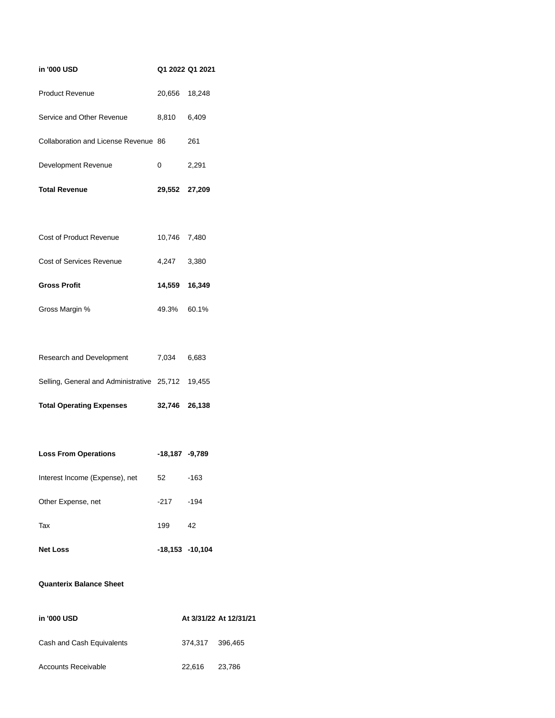| in '000 USD                                       |                    | Q1 2022 Q1 2021 |
|---------------------------------------------------|--------------------|-----------------|
| <b>Product Revenue</b>                            | 20,656 18,248      |                 |
| Service and Other Revenue                         | 8,810 6,409        |                 |
| Collaboration and License Revenue 86              |                    | 261             |
| Development Revenue                               | 0                  | 2,291           |
| <b>Total Revenue</b>                              | 29,552 27,209      |                 |
|                                                   |                    |                 |
| Cost of Product Revenue                           | 10,746 7,480       |                 |
| <b>Cost of Services Revenue</b>                   | 4,247              | 3,380           |
| <b>Gross Profit</b>                               | 14,559 16,349      |                 |
| Gross Margin %                                    | 49.3% 60.1%        |                 |
|                                                   |                    |                 |
| Research and Development                          | 7,034 6,683        |                 |
| Selling, General and Administrative 25,712 19,455 |                    |                 |
| <b>Total Operating Expenses</b>                   | 32,746 26,138      |                 |
|                                                   |                    |                 |
| <b>Loss From Operations</b>                       | $-18,187 -9,789$   |                 |
| Interest Income (Expense), net                    | 52                 | $-163$          |
| Other Expense, net                                | $-217$             | $-194$          |
| Tax                                               | 199                | 42              |
| <b>Net Loss</b>                                   | $-18,153 - 10,104$ |                 |

## **Quanterix Balance Sheet**

| in '000 USD               |        | At 3/31/22 At 12/31/21 |  |
|---------------------------|--------|------------------------|--|
| Cash and Cash Equivalents |        | 374.317 396.465        |  |
| Accounts Receivable       | 22.616 | 23.786                 |  |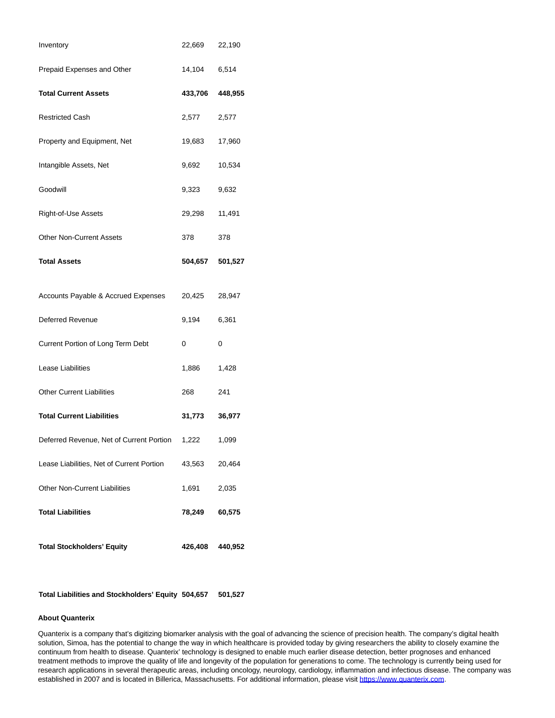| Inventory                                 | 22,669          | 22,190  |
|-------------------------------------------|-----------------|---------|
| Prepaid Expenses and Other                | 14,104 6,514    |         |
| <b>Total Current Assets</b>               | 433,706         | 448,955 |
| <b>Restricted Cash</b>                    | 2,577           | 2,577   |
| Property and Equipment, Net               | 19,683          | 17,960  |
| Intangible Assets, Net                    | 9,692           | 10,534  |
| Goodwill                                  | 9,323           | 9,632   |
| Right-of-Use Assets                       | 29,298          | 11,491  |
| <b>Other Non-Current Assets</b>           | 378             | 378     |
| <b>Total Assets</b>                       | 504,657         | 501,527 |
|                                           |                 |         |
| Accounts Payable & Accrued Expenses       | 20,425          | 28,947  |
| Deferred Revenue                          | 9,194           | 6,361   |
| Current Portion of Long Term Debt         | 0               | 0       |
| Lease Liabilities                         | 1,886           | 1,428   |
| <b>Other Current Liabilities</b>          | 268             | 241     |
| <b>Total Current Liabilities</b>          | 31,773          | 36,977  |
| Deferred Revenue, Net of Current Portion  | 1,222           | 1,099   |
| Lease Liabilities, Net of Current Portion | 43,563          | 20,464  |
| <b>Other Non-Current Liabilities</b>      | 1,691           | 2,035   |
| <b>Total Liabilities</b>                  | 78,249          | 60,575  |
| <b>Total Stockholders' Equity</b>         | 426,408 440,952 |         |

**Total Liabilities and Stockholders' Equity 504,657 501,527**

## **About Quanterix**

Quanterix is a company that's digitizing biomarker analysis with the goal of advancing the science of precision health. The company's digital health solution, Simoa, has the potential to change the way in which healthcare is provided today by giving researchers the ability to closely examine the continuum from health to disease. Quanterix' technology is designed to enable much earlier disease detection, better prognoses and enhanced treatment methods to improve the quality of life and longevity of the population for generations to come. The technology is currently being used for research applications in several therapeutic areas, including oncology, neurology, cardiology, inflammation and infectious disease. The company was established in 2007 and is located in Billerica, Massachusetts. For additional information, please visit [https://www.quanterix.com.](https://cts.businesswire.com/ct/CT?id=smartlink&url=https%3A%2F%2Fwww.quanterix.com&esheet=52713945&newsitemid=20220510005736&lan=en-US&anchor=https%3A%2F%2Fwww.quanterix.com&index=8&md5=d939a797c76efa069e164fc4f2346f01)